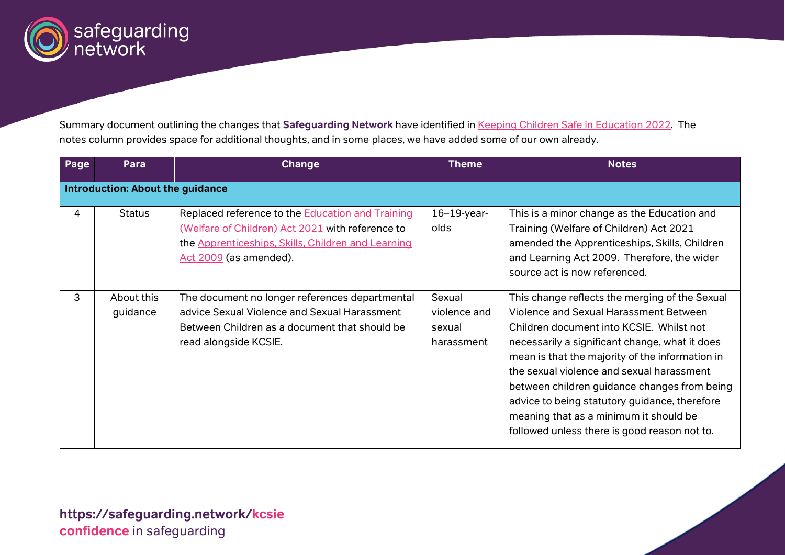

Summary document outlining the changes that **Safeguarding Network** have identified in [Keeping Children Safe in Education 2022.](https://www.gov.uk/government/publications/keeping-children-safe-in-education--2) The notes column provides space for additional thoughts, and in some places, we have added some of our own already.

| Page | Para                                    | Change                                                                                                                                                                               | <b>Theme</b>                                   | <b>Notes</b>                                                                                                                                                                                                                                                                                                                                                                                                                                                                      |
|------|-----------------------------------------|--------------------------------------------------------------------------------------------------------------------------------------------------------------------------------------|------------------------------------------------|-----------------------------------------------------------------------------------------------------------------------------------------------------------------------------------------------------------------------------------------------------------------------------------------------------------------------------------------------------------------------------------------------------------------------------------------------------------------------------------|
|      | <b>Introduction: About the guidance</b> |                                                                                                                                                                                      |                                                |                                                                                                                                                                                                                                                                                                                                                                                                                                                                                   |
| 4    | <b>Status</b>                           | Replaced reference to the Education and Training<br>(Welfare of Children) Act 2021 with reference to<br>the Apprenticeships, Skills, Children and Learning<br>Act 2009 (as amended). | $16-19$ -year-<br>olds                         | This is a minor change as the Education and<br>Training (Welfare of Children) Act 2021<br>amended the Apprenticeships, Skills, Children<br>and Learning Act 2009. Therefore, the wider<br>source act is now referenced.                                                                                                                                                                                                                                                           |
| 3    | About this<br>guidance                  | The document no longer references departmental<br>advice Sexual Violence and Sexual Harassment<br>Between Children as a document that should be<br>read alongside KCSIE.             | Sexual<br>violence and<br>sexual<br>harassment | This change reflects the merging of the Sexual<br>Violence and Sexual Harassment Between<br>Children document into KCSIE. Whilst not<br>necessarily a significant change, what it does<br>mean is that the majority of the information in<br>the sexual violence and sexual harassment<br>between children guidance changes from being<br>advice to being statutory guidance, therefore<br>meaning that as a minimum it should be<br>followed unless there is good reason not to. |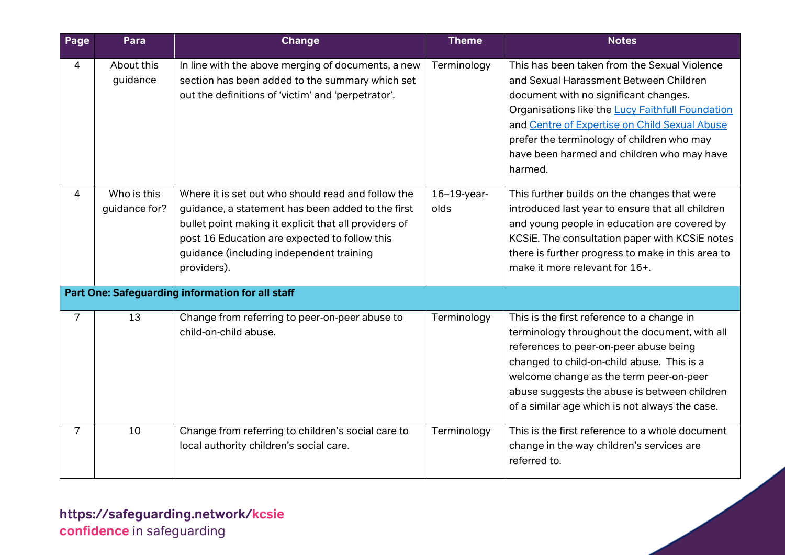| Page | Para                         | <b>Change</b>                                                                                                                                                                                                                                                                | <b>Theme</b>           | <b>Notes</b>                                                                                                                                                                                                                                                                                                                                |
|------|------------------------------|------------------------------------------------------------------------------------------------------------------------------------------------------------------------------------------------------------------------------------------------------------------------------|------------------------|---------------------------------------------------------------------------------------------------------------------------------------------------------------------------------------------------------------------------------------------------------------------------------------------------------------------------------------------|
| 4    | About this<br>guidance       | In line with the above merging of documents, a new<br>section has been added to the summary which set<br>out the definitions of 'victim' and 'perpetrator'.                                                                                                                  | Terminology            | This has been taken from the Sexual Violence<br>and Sexual Harassment Between Children<br>document with no significant changes.<br>Organisations like the Lucy Faithfull Foundation<br>and Centre of Expertise on Child Sexual Abuse<br>prefer the terminology of children who may<br>have been harmed and children who may have<br>harmed. |
| 4    | Who is this<br>guidance for? | Where it is set out who should read and follow the<br>guidance, a statement has been added to the first<br>bullet point making it explicit that all providers of<br>post 16 Education are expected to follow this<br>guidance (including independent training<br>providers). | $16-19$ -year-<br>olds | This further builds on the changes that were<br>introduced last year to ensure that all children<br>and young people in education are covered by<br>KCSiE. The consultation paper with KCSiE notes<br>there is further progress to make in this area to<br>make it more relevant for 16+.                                                   |
|      |                              | Part One: Safeguarding information for all staff                                                                                                                                                                                                                             |                        |                                                                                                                                                                                                                                                                                                                                             |
| 7    | 13                           | Change from referring to peer-on-peer abuse to<br>child-on-child abuse.                                                                                                                                                                                                      | Terminology            | This is the first reference to a change in<br>terminology throughout the document, with all<br>references to peer-on-peer abuse being<br>changed to child-on-child abuse. This is a<br>welcome change as the term peer-on-peer<br>abuse suggests the abuse is between children<br>of a similar age which is not always the case.            |
| 7    | 10                           | Change from referring to children's social care to<br>local authority children's social care.                                                                                                                                                                                | Terminology            | This is the first reference to a whole document<br>change in the way children's services are<br>referred to.                                                                                                                                                                                                                                |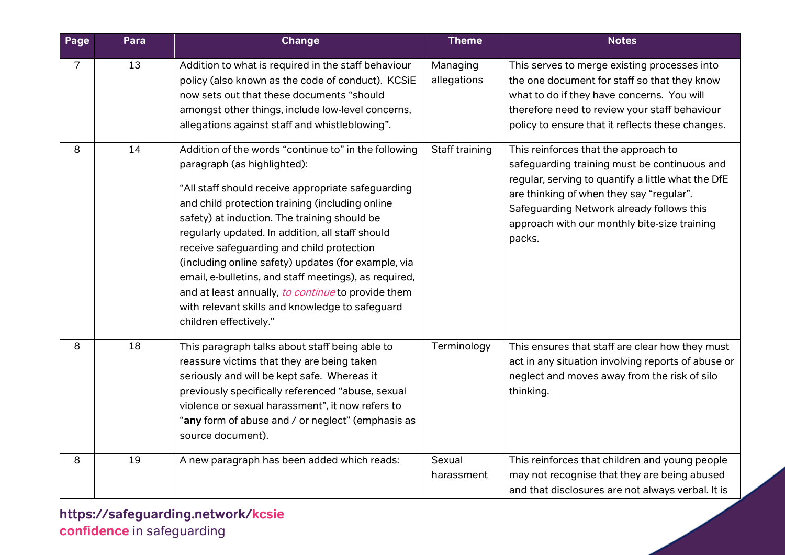| Page | Para | Change                                                                                                                                                                                                                                                                                                                                                                                                                                                                                                                                                                                           | <b>Theme</b>            | <b>Notes</b>                                                                                                                                                                                                                                                                                  |
|------|------|--------------------------------------------------------------------------------------------------------------------------------------------------------------------------------------------------------------------------------------------------------------------------------------------------------------------------------------------------------------------------------------------------------------------------------------------------------------------------------------------------------------------------------------------------------------------------------------------------|-------------------------|-----------------------------------------------------------------------------------------------------------------------------------------------------------------------------------------------------------------------------------------------------------------------------------------------|
| 7    | 13   | Addition to what is required in the staff behaviour<br>policy (also known as the code of conduct). KCSiE<br>now sets out that these documents "should<br>amongst other things, include low-level concerns,<br>allegations against staff and whistleblowing".                                                                                                                                                                                                                                                                                                                                     | Managing<br>allegations | This serves to merge existing processes into<br>the one document for staff so that they know<br>what to do if they have concerns. You will<br>therefore need to review your staff behaviour<br>policy to ensure that it reflects these changes.                                               |
| 8    | 14   | Addition of the words "continue to" in the following<br>paragraph (as highlighted):<br>"All staff should receive appropriate safeguarding<br>and child protection training (including online<br>safety) at induction. The training should be<br>regularly updated. In addition, all staff should<br>receive safeguarding and child protection<br>(including online safety) updates (for example, via<br>email, e-bulletins, and staff meetings), as required,<br>and at least annually, to continue to provide them<br>with relevant skills and knowledge to safeguard<br>children effectively." | Staff training          | This reinforces that the approach to<br>safeguarding training must be continuous and<br>regular, serving to quantify a little what the DfE<br>are thinking of when they say "regular".<br>Safeguarding Network already follows this<br>approach with our monthly bite-size training<br>packs. |
| 8    | 18   | This paragraph talks about staff being able to<br>reassure victims that they are being taken<br>seriously and will be kept safe. Whereas it<br>previously specifically referenced "abuse, sexual<br>violence or sexual harassment", it now refers to<br>"any form of abuse and / or neglect" (emphasis as<br>source document).                                                                                                                                                                                                                                                                   | Terminology             | This ensures that staff are clear how they must<br>act in any situation involving reports of abuse or<br>neglect and moves away from the risk of silo<br>thinking.                                                                                                                            |
| 8    | 19   | A new paragraph has been added which reads:                                                                                                                                                                                                                                                                                                                                                                                                                                                                                                                                                      | Sexual<br>harassment    | This reinforces that children and young people<br>may not recognise that they are being abused<br>and that disclosures are not always verbal. It is                                                                                                                                           |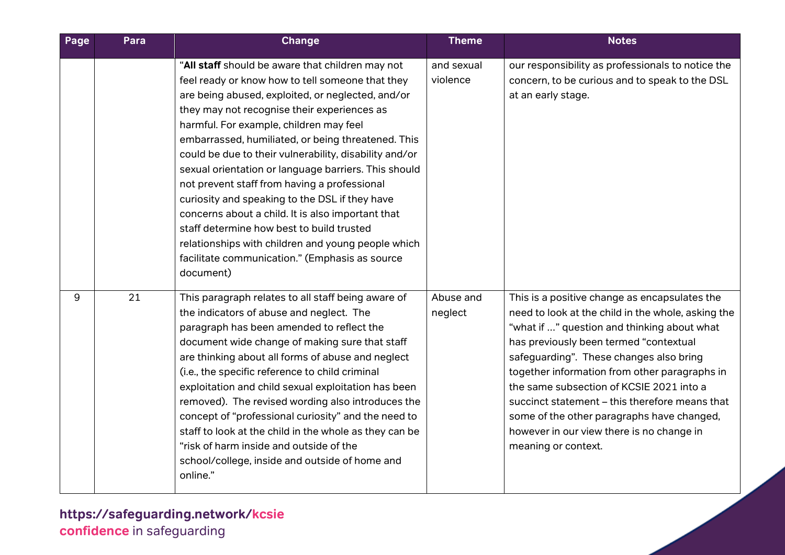| Page | Para | <b>Change</b>                                                                                                                                                                                                                                                                                                                                                                                                                                                                                                                                                                                                                                                                                                                                        | <b>Theme</b>           | <b>Notes</b>                                                                                                                                                                                                                                                                                                                                                                                                                                                                                             |
|------|------|------------------------------------------------------------------------------------------------------------------------------------------------------------------------------------------------------------------------------------------------------------------------------------------------------------------------------------------------------------------------------------------------------------------------------------------------------------------------------------------------------------------------------------------------------------------------------------------------------------------------------------------------------------------------------------------------------------------------------------------------------|------------------------|----------------------------------------------------------------------------------------------------------------------------------------------------------------------------------------------------------------------------------------------------------------------------------------------------------------------------------------------------------------------------------------------------------------------------------------------------------------------------------------------------------|
|      |      | "All staff should be aware that children may not<br>feel ready or know how to tell someone that they<br>are being abused, exploited, or neglected, and/or<br>they may not recognise their experiences as<br>harmful. For example, children may feel<br>embarrassed, humiliated, or being threatened. This<br>could be due to their vulnerability, disability and/or<br>sexual orientation or language barriers. This should<br>not prevent staff from having a professional<br>curiosity and speaking to the DSL if they have<br>concerns about a child. It is also important that<br>staff determine how best to build trusted<br>relationships with children and young people which<br>facilitate communication." (Emphasis as source<br>document) | and sexual<br>violence | our responsibility as professionals to notice the<br>concern, to be curious and to speak to the DSL<br>at an early stage.                                                                                                                                                                                                                                                                                                                                                                                |
| 9    | 21   | This paragraph relates to all staff being aware of<br>the indicators of abuse and neglect. The<br>paragraph has been amended to reflect the<br>document wide change of making sure that staff<br>are thinking about all forms of abuse and neglect<br>(i.e., the specific reference to child criminal<br>exploitation and child sexual exploitation has been<br>removed). The revised wording also introduces the<br>concept of "professional curiosity" and the need to<br>staff to look at the child in the whole as they can be<br>"risk of harm inside and outside of the<br>school/college, inside and outside of home and<br>online."                                                                                                          | Abuse and<br>neglect   | This is a positive change as encapsulates the<br>need to look at the child in the whole, asking the<br>"what if " question and thinking about what<br>has previously been termed "contextual<br>safeguarding". These changes also bring<br>together information from other paragraphs in<br>the same subsection of KCSIE 2021 into a<br>succinct statement - this therefore means that<br>some of the other paragraphs have changed,<br>however in our view there is no change in<br>meaning or context. |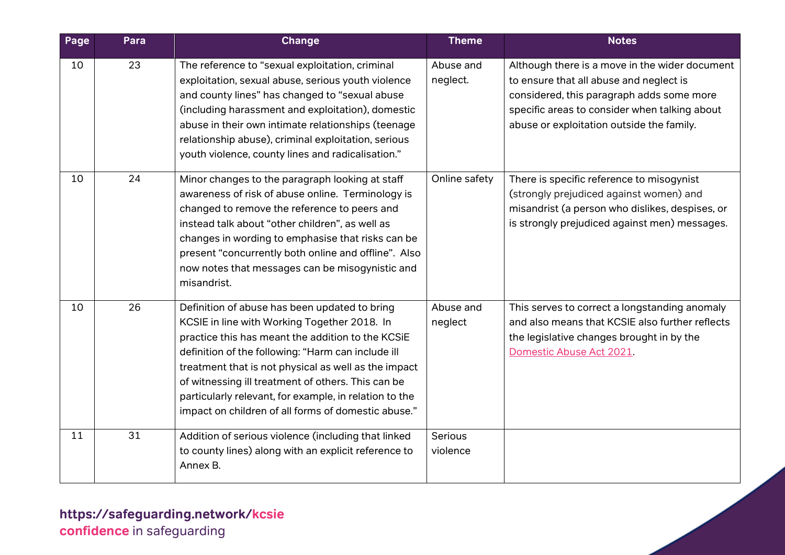| Page | Para | <b>Change</b>                                                                                                                                                                                                                                                                                                                                                                                                                           | <b>Theme</b>          | <b>Notes</b>                                                                                                                                                                                                                         |
|------|------|-----------------------------------------------------------------------------------------------------------------------------------------------------------------------------------------------------------------------------------------------------------------------------------------------------------------------------------------------------------------------------------------------------------------------------------------|-----------------------|--------------------------------------------------------------------------------------------------------------------------------------------------------------------------------------------------------------------------------------|
| 10   | 23   | The reference to "sexual exploitation, criminal<br>exploitation, sexual abuse, serious youth violence<br>and county lines" has changed to "sexual abuse<br>(including harassment and exploitation), domestic<br>abuse in their own intimate relationships (teenage<br>relationship abuse), criminal exploitation, serious<br>youth violence, county lines and radicalisation."                                                          | Abuse and<br>neglect. | Although there is a move in the wider document<br>to ensure that all abuse and neglect is<br>considered, this paragraph adds some more<br>specific areas to consider when talking about<br>abuse or exploitation outside the family. |
| 10   | 24   | Minor changes to the paragraph looking at staff<br>awareness of risk of abuse online. Terminology is<br>changed to remove the reference to peers and<br>instead talk about "other children", as well as<br>changes in wording to emphasise that risks can be<br>present "concurrently both online and offline". Also<br>now notes that messages can be misogynistic and<br>misandrist.                                                  | Online safety         | There is specific reference to misogynist<br>(strongly prejudiced against women) and<br>misandrist (a person who dislikes, despises, or<br>is strongly prejudiced against men) messages.                                             |
| 10   | 26   | Definition of abuse has been updated to bring<br>KCSIE in line with Working Together 2018. In<br>practice this has meant the addition to the KCSiE<br>definition of the following: "Harm can include ill<br>treatment that is not physical as well as the impact<br>of witnessing ill treatment of others. This can be<br>particularly relevant, for example, in relation to the<br>impact on children of all forms of domestic abuse." | Abuse and<br>neglect  | This serves to correct a longstanding anomaly<br>and also means that KCSIE also further reflects<br>the legislative changes brought in by the<br>Domestic Abuse Act 2021.                                                            |
| 11   | 31   | Addition of serious violence (including that linked<br>to county lines) along with an explicit reference to<br>Annex B.                                                                                                                                                                                                                                                                                                                 | Serious<br>violence   |                                                                                                                                                                                                                                      |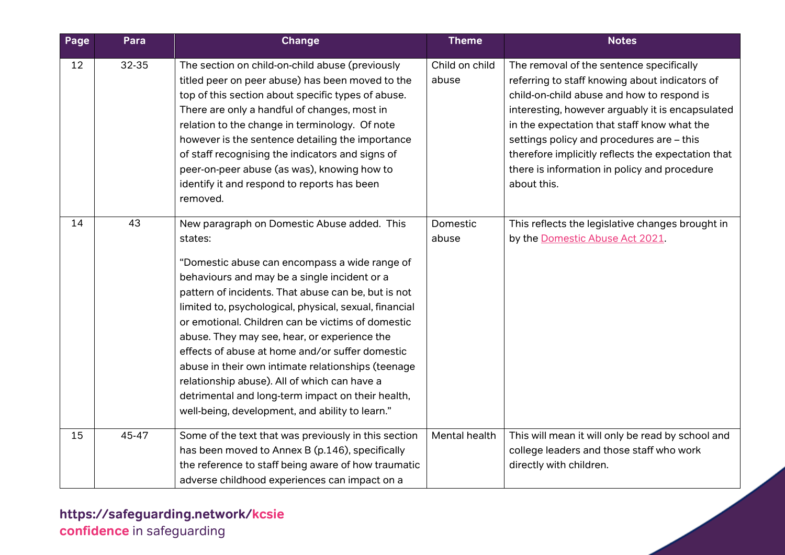| Page | Para  | <b>Change</b>                                                                                                                                                                                                                                                                                                                                                                                                                                                                                                                                                                                                                                  | <b>Theme</b>            | <b>Notes</b>                                                                                                                                                                                                                                                                                                                                                                                                  |
|------|-------|------------------------------------------------------------------------------------------------------------------------------------------------------------------------------------------------------------------------------------------------------------------------------------------------------------------------------------------------------------------------------------------------------------------------------------------------------------------------------------------------------------------------------------------------------------------------------------------------------------------------------------------------|-------------------------|---------------------------------------------------------------------------------------------------------------------------------------------------------------------------------------------------------------------------------------------------------------------------------------------------------------------------------------------------------------------------------------------------------------|
| 12   | 32-35 | The section on child-on-child abuse (previously<br>titled peer on peer abuse) has been moved to the<br>top of this section about specific types of abuse.<br>There are only a handful of changes, most in<br>relation to the change in terminology. Of note<br>however is the sentence detailing the importance<br>of staff recognising the indicators and signs of<br>peer-on-peer abuse (as was), knowing how to<br>identify it and respond to reports has been<br>removed.                                                                                                                                                                  | Child on child<br>abuse | The removal of the sentence specifically<br>referring to staff knowing about indicators of<br>child-on-child abuse and how to respond is<br>interesting, however arguably it is encapsulated<br>in the expectation that staff know what the<br>settings policy and procedures are - this<br>therefore implicitly reflects the expectation that<br>there is information in policy and procedure<br>about this. |
| 14   | 43    | New paragraph on Domestic Abuse added. This<br>states:<br>"Domestic abuse can encompass a wide range of<br>behaviours and may be a single incident or a<br>pattern of incidents. That abuse can be, but is not<br>limited to, psychological, physical, sexual, financial<br>or emotional. Children can be victims of domestic<br>abuse. They may see, hear, or experience the<br>effects of abuse at home and/or suffer domestic<br>abuse in their own intimate relationships (teenage<br>relationship abuse). All of which can have a<br>detrimental and long-term impact on their health,<br>well-being, development, and ability to learn." | Domestic<br>abuse       | This reflects the legislative changes brought in<br>by the Domestic Abuse Act 2021.                                                                                                                                                                                                                                                                                                                           |
| 15   | 45-47 | Some of the text that was previously in this section<br>has been moved to Annex B (p.146), specifically<br>the reference to staff being aware of how traumatic<br>adverse childhood experiences can impact on a                                                                                                                                                                                                                                                                                                                                                                                                                                | Mental health           | This will mean it will only be read by school and<br>college leaders and those staff who work<br>directly with children.                                                                                                                                                                                                                                                                                      |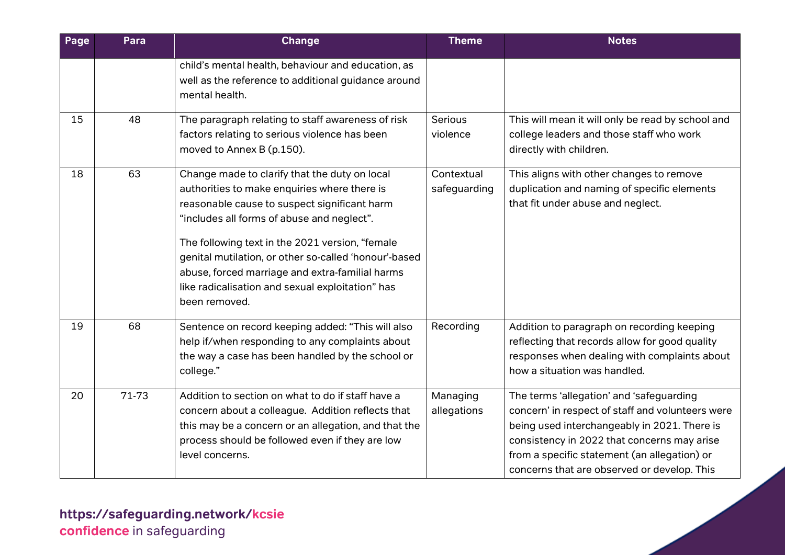| Page | Para  | Change                                                                                                                                                                                                                                                                                                                                                                                                                          | <b>Theme</b>               | <b>Notes</b>                                                                                                                                                                                                                                                                               |
|------|-------|---------------------------------------------------------------------------------------------------------------------------------------------------------------------------------------------------------------------------------------------------------------------------------------------------------------------------------------------------------------------------------------------------------------------------------|----------------------------|--------------------------------------------------------------------------------------------------------------------------------------------------------------------------------------------------------------------------------------------------------------------------------------------|
|      |       | child's mental health, behaviour and education, as<br>well as the reference to additional guidance around<br>mental health.                                                                                                                                                                                                                                                                                                     |                            |                                                                                                                                                                                                                                                                                            |
| 15   | 48    | The paragraph relating to staff awareness of risk<br>factors relating to serious violence has been<br>moved to Annex B (p.150).                                                                                                                                                                                                                                                                                                 | Serious<br>violence        | This will mean it will only be read by school and<br>college leaders and those staff who work<br>directly with children.                                                                                                                                                                   |
| 18   | 63    | Change made to clarify that the duty on local<br>authorities to make enquiries where there is<br>reasonable cause to suspect significant harm<br>"includes all forms of abuse and neglect".<br>The following text in the 2021 version, "female<br>genital mutilation, or other so-called 'honour'-based<br>abuse, forced marriage and extra-familial harms<br>like radicalisation and sexual exploitation" has<br>been removed. | Contextual<br>safeguarding | This aligns with other changes to remove<br>duplication and naming of specific elements<br>that fit under abuse and neglect.                                                                                                                                                               |
| 19   | 68    | Sentence on record keeping added: "This will also<br>help if/when responding to any complaints about<br>the way a case has been handled by the school or<br>college."                                                                                                                                                                                                                                                           | Recording                  | Addition to paragraph on recording keeping<br>reflecting that records allow for good quality<br>responses when dealing with complaints about<br>how a situation was handled.                                                                                                               |
| 20   | 71-73 | Addition to section on what to do if staff have a<br>concern about a colleague. Addition reflects that<br>this may be a concern or an allegation, and that the<br>process should be followed even if they are low<br>level concerns.                                                                                                                                                                                            | Managing<br>allegations    | The terms 'allegation' and 'safeguarding<br>concern' in respect of staff and volunteers were<br>being used interchangeably in 2021. There is<br>consistency in 2022 that concerns may arise<br>from a specific statement (an allegation) or<br>concerns that are observed or develop. This |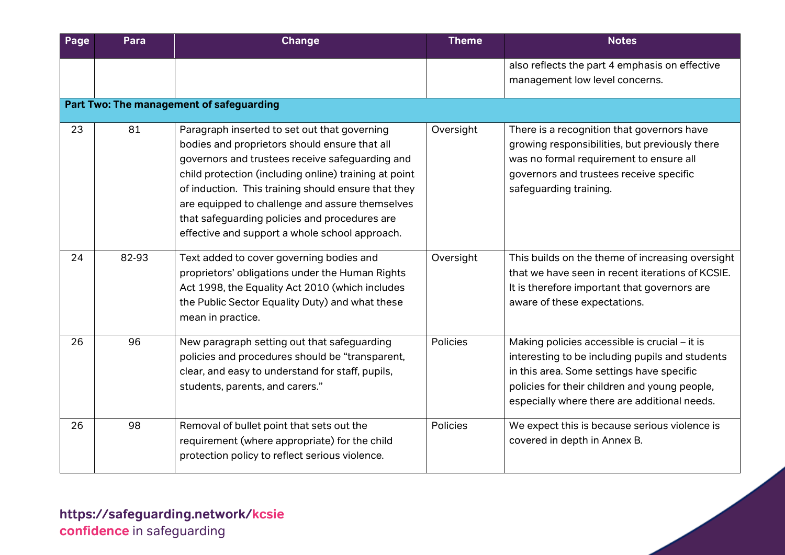| Page | Para  | <b>Change</b>                                                                                                                                                                                                                                                                                                                                                                                                          | <b>Theme</b> | <b>Notes</b>                                                                                                                                                                                                                                   |
|------|-------|------------------------------------------------------------------------------------------------------------------------------------------------------------------------------------------------------------------------------------------------------------------------------------------------------------------------------------------------------------------------------------------------------------------------|--------------|------------------------------------------------------------------------------------------------------------------------------------------------------------------------------------------------------------------------------------------------|
|      |       |                                                                                                                                                                                                                                                                                                                                                                                                                        |              | also reflects the part 4 emphasis on effective<br>management low level concerns.                                                                                                                                                               |
|      |       | Part Two: The management of safeguarding                                                                                                                                                                                                                                                                                                                                                                               |              |                                                                                                                                                                                                                                                |
| 23   | 81    | Paragraph inserted to set out that governing<br>bodies and proprietors should ensure that all<br>governors and trustees receive safeguarding and<br>child protection (including online) training at point<br>of induction. This training should ensure that they<br>are equipped to challenge and assure themselves<br>that safeguarding policies and procedures are<br>effective and support a whole school approach. | Oversight    | There is a recognition that governors have<br>growing responsibilities, but previously there<br>was no formal requirement to ensure all<br>governors and trustees receive specific<br>safeguarding training.                                   |
| 24   | 82-93 | Text added to cover governing bodies and<br>proprietors' obligations under the Human Rights<br>Act 1998, the Equality Act 2010 (which includes<br>the Public Sector Equality Duty) and what these<br>mean in practice.                                                                                                                                                                                                 | Oversight    | This builds on the theme of increasing oversight<br>that we have seen in recent iterations of KCSIE.<br>It is therefore important that governors are<br>aware of these expectations.                                                           |
| 26   | 96    | New paragraph setting out that safeguarding<br>policies and procedures should be "transparent,<br>clear, and easy to understand for staff, pupils,<br>students, parents, and carers."                                                                                                                                                                                                                                  | Policies     | Making policies accessible is crucial - it is<br>interesting to be including pupils and students<br>in this area. Some settings have specific<br>policies for their children and young people,<br>especially where there are additional needs. |
| 26   | 98    | Removal of bullet point that sets out the<br>requirement (where appropriate) for the child<br>protection policy to reflect serious violence.                                                                                                                                                                                                                                                                           | Policies     | We expect this is because serious violence is<br>covered in depth in Annex B.                                                                                                                                                                  |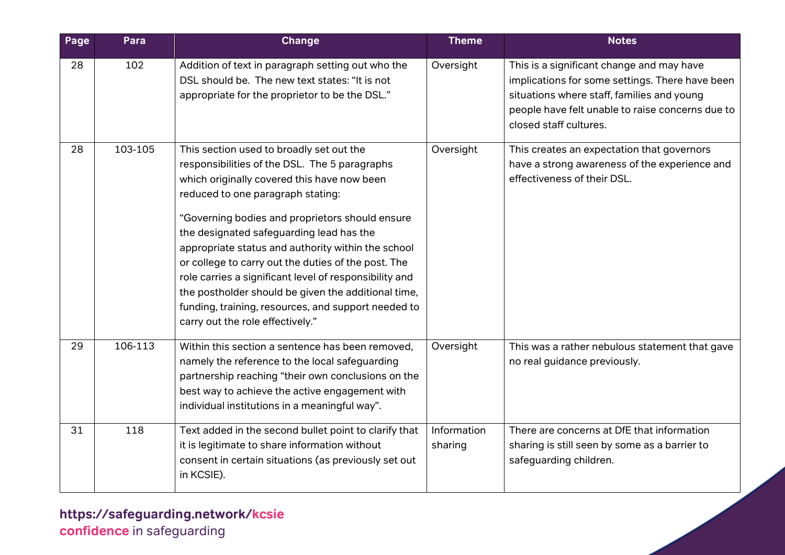| Page | Para    | Change                                                                                                                                                                                                                                                                                                                                                                                                                                                                                                                                                                                                | <b>Theme</b>           | <b>Notes</b>                                                                                                                                                                                                             |
|------|---------|-------------------------------------------------------------------------------------------------------------------------------------------------------------------------------------------------------------------------------------------------------------------------------------------------------------------------------------------------------------------------------------------------------------------------------------------------------------------------------------------------------------------------------------------------------------------------------------------------------|------------------------|--------------------------------------------------------------------------------------------------------------------------------------------------------------------------------------------------------------------------|
| 28   | 102     | Addition of text in paragraph setting out who the<br>DSL should be. The new text states: "It is not<br>appropriate for the proprietor to be the DSL."                                                                                                                                                                                                                                                                                                                                                                                                                                                 | Oversight              | This is a significant change and may have<br>implications for some settings. There have been<br>situations where staff, families and young<br>people have felt unable to raise concerns due to<br>closed staff cultures. |
| 28   | 103-105 | This section used to broadly set out the<br>responsibilities of the DSL. The 5 paragraphs<br>which originally covered this have now been<br>reduced to one paragraph stating:<br>"Governing bodies and proprietors should ensure<br>the designated safeguarding lead has the<br>appropriate status and authority within the school<br>or college to carry out the duties of the post. The<br>role carries a significant level of responsibility and<br>the postholder should be given the additional time,<br>funding, training, resources, and support needed to<br>carry out the role effectively." | Oversight              | This creates an expectation that governors<br>have a strong awareness of the experience and<br>effectiveness of their DSL.                                                                                               |
| 29   | 106-113 | Within this section a sentence has been removed,<br>namely the reference to the local safeguarding<br>partnership reaching "their own conclusions on the<br>best way to achieve the active engagement with<br>individual institutions in a meaningful way".                                                                                                                                                                                                                                                                                                                                           | Oversight              | This was a rather nebulous statement that gave<br>no real guidance previously.                                                                                                                                           |
| 31   | 118     | Text added in the second bullet point to clarify that<br>it is legitimate to share information without<br>consent in certain situations (as previously set out<br>in KCSIE).                                                                                                                                                                                                                                                                                                                                                                                                                          | Information<br>sharing | There are concerns at DfE that information<br>sharing is still seen by some as a barrier to<br>safeguarding children.                                                                                                    |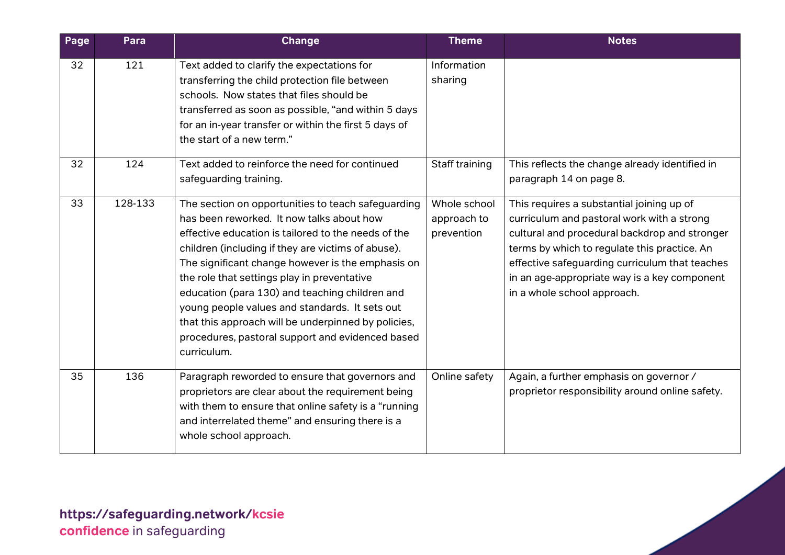| Page | Para    | <b>Change</b>                                                                                                                                                                                                                                                                                                                                                                                                                                                                                                                                  | <b>Theme</b>                              | <b>Notes</b>                                                                                                                                                                                                                                                                                                              |
|------|---------|------------------------------------------------------------------------------------------------------------------------------------------------------------------------------------------------------------------------------------------------------------------------------------------------------------------------------------------------------------------------------------------------------------------------------------------------------------------------------------------------------------------------------------------------|-------------------------------------------|---------------------------------------------------------------------------------------------------------------------------------------------------------------------------------------------------------------------------------------------------------------------------------------------------------------------------|
| 32   | 121     | Text added to clarify the expectations for<br>transferring the child protection file between<br>schools. Now states that files should be<br>transferred as soon as possible, "and within 5 days<br>for an in-year transfer or within the first 5 days of<br>the start of a new term."                                                                                                                                                                                                                                                          | Information<br>sharing                    |                                                                                                                                                                                                                                                                                                                           |
| 32   | 124     | Text added to reinforce the need for continued<br>safeguarding training.                                                                                                                                                                                                                                                                                                                                                                                                                                                                       | Staff training                            | This reflects the change already identified in<br>paragraph 14 on page 8.                                                                                                                                                                                                                                                 |
| 33   | 128-133 | The section on opportunities to teach safeguarding<br>has been reworked. It now talks about how<br>effective education is tailored to the needs of the<br>children (including if they are victims of abuse).<br>The significant change however is the emphasis on<br>the role that settings play in preventative<br>education (para 130) and teaching children and<br>young people values and standards. It sets out<br>that this approach will be underpinned by policies,<br>procedures, pastoral support and evidenced based<br>curriculum. | Whole school<br>approach to<br>prevention | This requires a substantial joining up of<br>curriculum and pastoral work with a strong<br>cultural and procedural backdrop and stronger<br>terms by which to regulate this practice. An<br>effective safeguarding curriculum that teaches<br>in an age-appropriate way is a key component<br>in a whole school approach. |
| 35   | 136     | Paragraph reworded to ensure that governors and<br>proprietors are clear about the requirement being<br>with them to ensure that online safety is a "running<br>and interrelated theme" and ensuring there is a<br>whole school approach.                                                                                                                                                                                                                                                                                                      | Online safety                             | Again, a further emphasis on governor /<br>proprietor responsibility around online safety.                                                                                                                                                                                                                                |

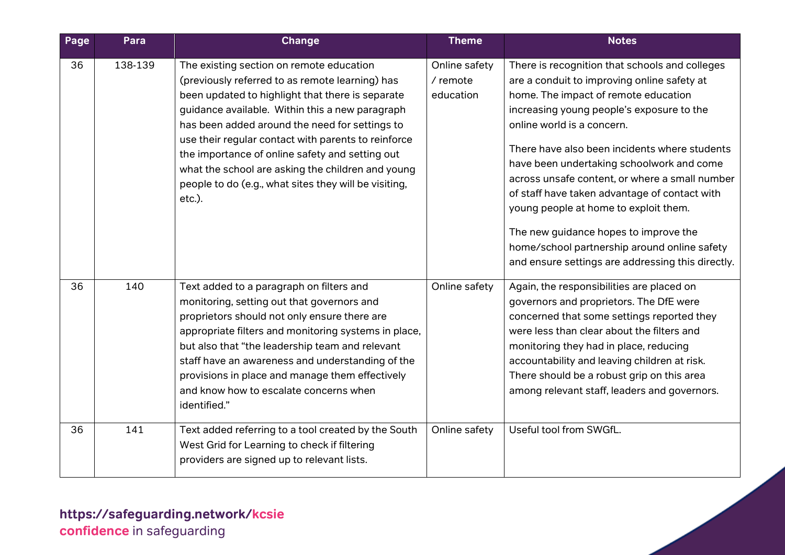| Page | Para    | Change                                                                                                                                                                                                                                                                                                                                                                                                                                                                                 | <b>Theme</b>                             | <b>Notes</b>                                                                                                                                                                                                                                                                                                                                                                                                                                                                                                                                                                                             |
|------|---------|----------------------------------------------------------------------------------------------------------------------------------------------------------------------------------------------------------------------------------------------------------------------------------------------------------------------------------------------------------------------------------------------------------------------------------------------------------------------------------------|------------------------------------------|----------------------------------------------------------------------------------------------------------------------------------------------------------------------------------------------------------------------------------------------------------------------------------------------------------------------------------------------------------------------------------------------------------------------------------------------------------------------------------------------------------------------------------------------------------------------------------------------------------|
| 36   | 138-139 | The existing section on remote education<br>(previously referred to as remote learning) has<br>been updated to highlight that there is separate<br>guidance available. Within this a new paragraph<br>has been added around the need for settings to<br>use their regular contact with parents to reinforce<br>the importance of online safety and setting out<br>what the school are asking the children and young<br>people to do (e.g., what sites they will be visiting,<br>etc.). | Online safety<br>$/$ remote<br>education | There is recognition that schools and colleges<br>are a conduit to improving online safety at<br>home. The impact of remote education<br>increasing young people's exposure to the<br>online world is a concern.<br>There have also been incidents where students<br>have been undertaking schoolwork and come<br>across unsafe content, or where a small number<br>of staff have taken advantage of contact with<br>young people at home to exploit them.<br>The new guidance hopes to improve the<br>home/school partnership around online safety<br>and ensure settings are addressing this directly. |
| 36   | 140     | Text added to a paragraph on filters and<br>monitoring, setting out that governors and<br>proprietors should not only ensure there are<br>appropriate filters and monitoring systems in place,<br>but also that "the leadership team and relevant<br>staff have an awareness and understanding of the<br>provisions in place and manage them effectively<br>and know how to escalate concerns when<br>identified."                                                                     | Online safety                            | Again, the responsibilities are placed on<br>governors and proprietors. The DfE were<br>concerned that some settings reported they<br>were less than clear about the filters and<br>monitoring they had in place, reducing<br>accountability and leaving children at risk.<br>There should be a robust grip on this area<br>among relevant staff, leaders and governors.                                                                                                                                                                                                                                 |
| 36   | 141     | Text added referring to a tool created by the South<br>West Grid for Learning to check if filtering<br>providers are signed up to relevant lists.                                                                                                                                                                                                                                                                                                                                      | Online safety                            | Useful tool from SWGfL.                                                                                                                                                                                                                                                                                                                                                                                                                                                                                                                                                                                  |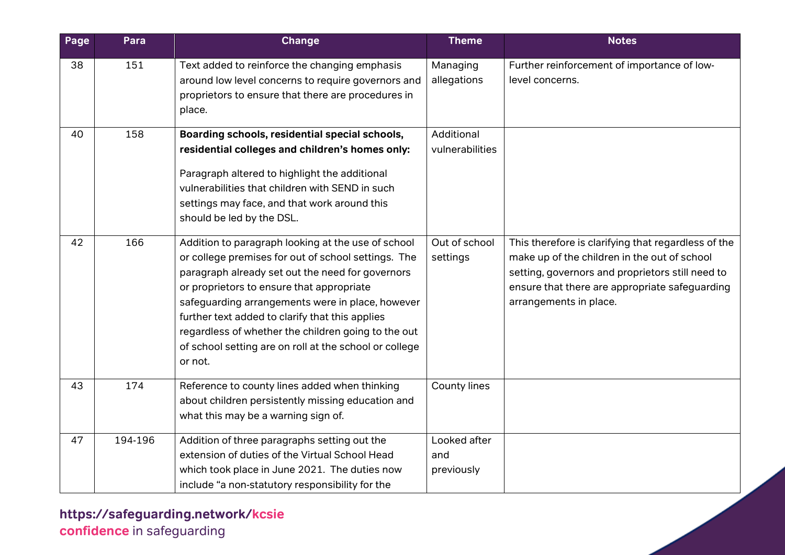| Page | Para    | <b>Change</b>                                                                                                                                                                                                                                                                                                                                                                                                                                 | <b>Theme</b>                      | <b>Notes</b>                                                                                                                                                                                                                        |
|------|---------|-----------------------------------------------------------------------------------------------------------------------------------------------------------------------------------------------------------------------------------------------------------------------------------------------------------------------------------------------------------------------------------------------------------------------------------------------|-----------------------------------|-------------------------------------------------------------------------------------------------------------------------------------------------------------------------------------------------------------------------------------|
| 38   | 151     | Text added to reinforce the changing emphasis<br>around low level concerns to require governors and<br>proprietors to ensure that there are procedures in<br>place.                                                                                                                                                                                                                                                                           | Managing<br>allegations           | Further reinforcement of importance of low-<br>level concerns.                                                                                                                                                                      |
| 40   | 158     | Boarding schools, residential special schools,<br>residential colleges and children's homes only:<br>Paragraph altered to highlight the additional<br>vulnerabilities that children with SEND in such<br>settings may face, and that work around this<br>should be led by the DSL.                                                                                                                                                            | Additional<br>vulnerabilities     |                                                                                                                                                                                                                                     |
| 42   | 166     | Addition to paragraph looking at the use of school<br>or college premises for out of school settings. The<br>paragraph already set out the need for governors<br>or proprietors to ensure that appropriate<br>safeguarding arrangements were in place, however<br>further text added to clarify that this applies<br>regardless of whether the children going to the out<br>of school setting are on roll at the school or college<br>or not. | Out of school<br>settings         | This therefore is clarifying that regardless of the<br>make up of the children in the out of school<br>setting, governors and proprietors still need to<br>ensure that there are appropriate safeguarding<br>arrangements in place. |
| 43   | 174     | Reference to county lines added when thinking<br>about children persistently missing education and<br>what this may be a warning sign of.                                                                                                                                                                                                                                                                                                     | County lines                      |                                                                                                                                                                                                                                     |
| 47   | 194-196 | Addition of three paragraphs setting out the<br>extension of duties of the Virtual School Head<br>which took place in June 2021. The duties now<br>include "a non-statutory responsibility for the                                                                                                                                                                                                                                            | Looked after<br>and<br>previously |                                                                                                                                                                                                                                     |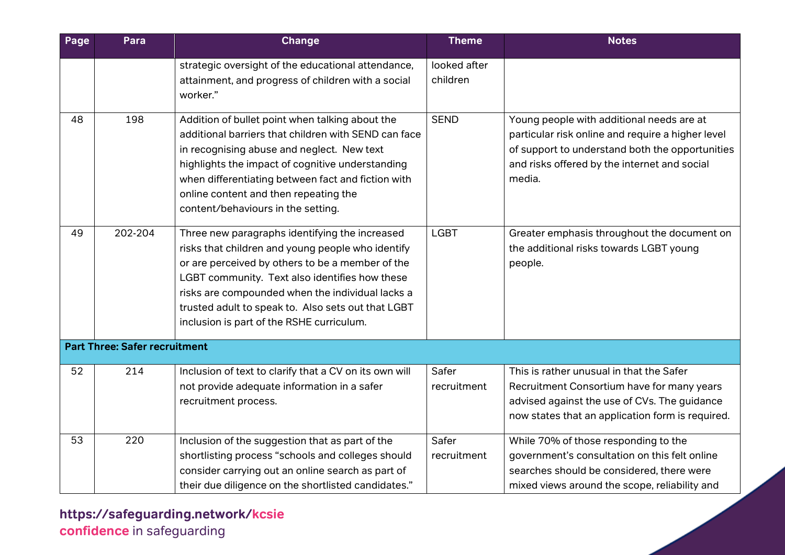| Page | Para                                 | <b>Change</b>                                                                                                                                                                                                                                                                                                                                                    | <b>Theme</b>             | <b>Notes</b>                                                                                                                                                                                                |
|------|--------------------------------------|------------------------------------------------------------------------------------------------------------------------------------------------------------------------------------------------------------------------------------------------------------------------------------------------------------------------------------------------------------------|--------------------------|-------------------------------------------------------------------------------------------------------------------------------------------------------------------------------------------------------------|
|      |                                      | strategic oversight of the educational attendance,<br>attainment, and progress of children with a social<br>worker."                                                                                                                                                                                                                                             | looked after<br>children |                                                                                                                                                                                                             |
| 48   | 198                                  | Addition of bullet point when talking about the<br>additional barriers that children with SEND can face<br>in recognising abuse and neglect. New text<br>highlights the impact of cognitive understanding<br>when differentiating between fact and fiction with<br>online content and then repeating the<br>content/behaviours in the setting.                   | <b>SEND</b>              | Young people with additional needs are at<br>particular risk online and require a higher level<br>of support to understand both the opportunities<br>and risks offered by the internet and social<br>media. |
| 49   | 202-204                              | Three new paragraphs identifying the increased<br>risks that children and young people who identify<br>or are perceived by others to be a member of the<br>LGBT community. Text also identifies how these<br>risks are compounded when the individual lacks a<br>trusted adult to speak to. Also sets out that LGBT<br>inclusion is part of the RSHE curriculum. | <b>LGBT</b>              | Greater emphasis throughout the document on<br>the additional risks towards LGBT young<br>people.                                                                                                           |
|      | <b>Part Three: Safer recruitment</b> |                                                                                                                                                                                                                                                                                                                                                                  |                          |                                                                                                                                                                                                             |
| 52   | 214                                  | Inclusion of text to clarify that a CV on its own will<br>not provide adequate information in a safer<br>recruitment process.                                                                                                                                                                                                                                    | Safer<br>recruitment     | This is rather unusual in that the Safer<br>Recruitment Consortium have for many years<br>advised against the use of CVs. The guidance<br>now states that an application form is required.                  |
| 53   | 220                                  | Inclusion of the suggestion that as part of the<br>shortlisting process "schools and colleges should<br>consider carrying out an online search as part of<br>their due diligence on the shortlisted candidates."                                                                                                                                                 | Safer<br>recruitment     | While 70% of those responding to the<br>government's consultation on this felt online<br>searches should be considered, there were<br>mixed views around the scope, reliability and                         |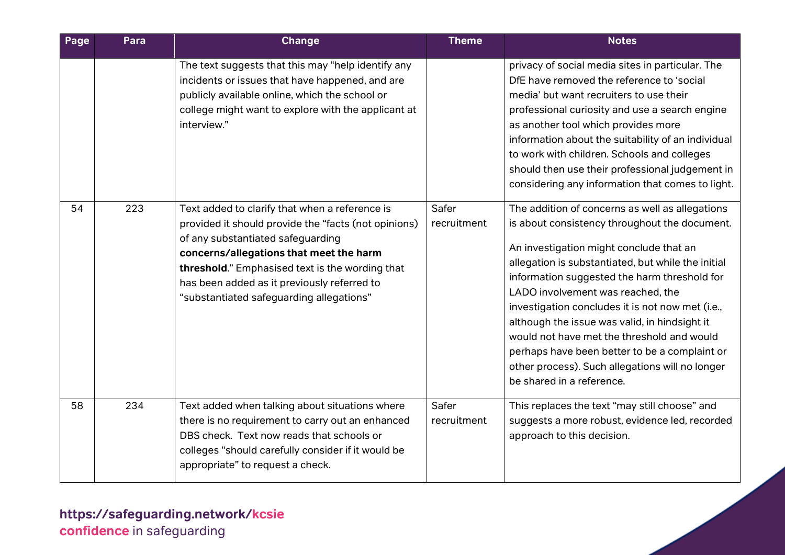| Page | Para | <b>Change</b>                                                                                                                                                                                                                                                                                                                                                                                                                                                                                                                                                         | <b>Theme</b>         | <b>Notes</b>                                                                                                                                                                                                                                                                                                                                                                                                                                                                                                                                                                                                                                                                                                                                                                                |
|------|------|-----------------------------------------------------------------------------------------------------------------------------------------------------------------------------------------------------------------------------------------------------------------------------------------------------------------------------------------------------------------------------------------------------------------------------------------------------------------------------------------------------------------------------------------------------------------------|----------------------|---------------------------------------------------------------------------------------------------------------------------------------------------------------------------------------------------------------------------------------------------------------------------------------------------------------------------------------------------------------------------------------------------------------------------------------------------------------------------------------------------------------------------------------------------------------------------------------------------------------------------------------------------------------------------------------------------------------------------------------------------------------------------------------------|
| 54   | 223  | The text suggests that this may "help identify any<br>incidents or issues that have happened, and are<br>publicly available online, which the school or<br>college might want to explore with the applicant at<br>interview."<br>Text added to clarify that when a reference is<br>provided it should provide the "facts (not opinions)<br>of any substantiated safeguarding<br>concerns/allegations that meet the harm<br>threshold." Emphasised text is the wording that<br>has been added as it previously referred to<br>"substantiated safeguarding allegations" | Safer<br>recruitment | privacy of social media sites in particular. The<br>DfE have removed the reference to 'social<br>media' but want recruiters to use their<br>professional curiosity and use a search engine<br>as another tool which provides more<br>information about the suitability of an individual<br>to work with children. Schools and colleges<br>should then use their professional judgement in<br>considering any information that comes to light.<br>The addition of concerns as well as allegations<br>is about consistency throughout the document.<br>An investigation might conclude that an<br>allegation is substantiated, but while the initial<br>information suggested the harm threshold for<br>LADO involvement was reached, the<br>investigation concludes it is not now met (i.e., |
|      |      |                                                                                                                                                                                                                                                                                                                                                                                                                                                                                                                                                                       |                      | although the issue was valid, in hindsight it<br>would not have met the threshold and would<br>perhaps have been better to be a complaint or<br>other process). Such allegations will no longer<br>be shared in a reference.                                                                                                                                                                                                                                                                                                                                                                                                                                                                                                                                                                |
| 58   | 234  | Text added when talking about situations where<br>there is no requirement to carry out an enhanced<br>DBS check. Text now reads that schools or<br>colleges "should carefully consider if it would be<br>appropriate" to request a check.                                                                                                                                                                                                                                                                                                                             | Safer<br>recruitment | This replaces the text "may still choose" and<br>suggests a more robust, evidence led, recorded<br>approach to this decision.                                                                                                                                                                                                                                                                                                                                                                                                                                                                                                                                                                                                                                                               |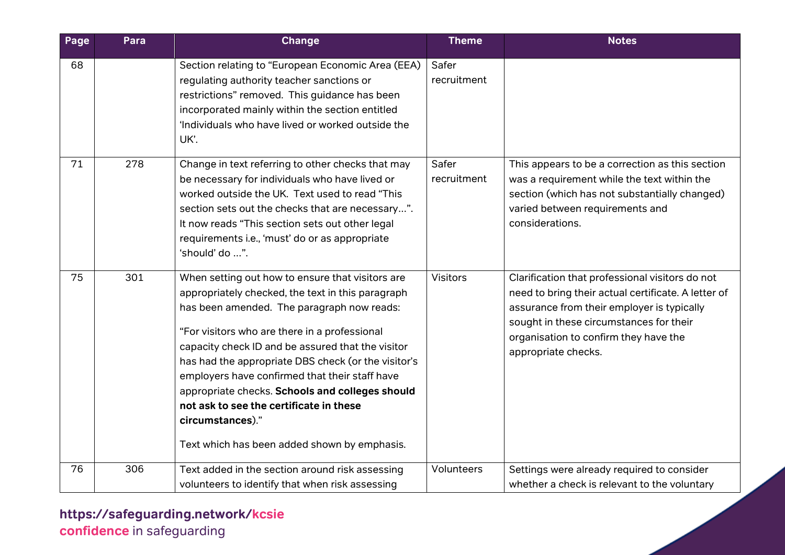| Page | Para | Change                                                                                                                                                                                                                                                                                                                                                                                                                                                                                                                               | <b>Theme</b>         | <b>Notes</b>                                                                                                                                                                                                                                                    |
|------|------|--------------------------------------------------------------------------------------------------------------------------------------------------------------------------------------------------------------------------------------------------------------------------------------------------------------------------------------------------------------------------------------------------------------------------------------------------------------------------------------------------------------------------------------|----------------------|-----------------------------------------------------------------------------------------------------------------------------------------------------------------------------------------------------------------------------------------------------------------|
| 68   |      | Section relating to "European Economic Area (EEA)<br>regulating authority teacher sanctions or<br>restrictions" removed. This guidance has been<br>incorporated mainly within the section entitled<br>'Individuals who have lived or worked outside the<br>UK'.                                                                                                                                                                                                                                                                      | Safer<br>recruitment |                                                                                                                                                                                                                                                                 |
| 71   | 278  | Change in text referring to other checks that may<br>be necessary for individuals who have lived or<br>worked outside the UK. Text used to read "This<br>section sets out the checks that are necessary".<br>It now reads "This section sets out other legal<br>requirements i.e., 'must' do or as appropriate<br>'should' do ".                                                                                                                                                                                                     | Safer<br>recruitment | This appears to be a correction as this section<br>was a requirement while the text within the<br>section (which has not substantially changed)<br>varied between requirements and<br>considerations.                                                           |
| 75   | 301  | When setting out how to ensure that visitors are<br>appropriately checked, the text in this paragraph<br>has been amended. The paragraph now reads:<br>"For visitors who are there in a professional<br>capacity check ID and be assured that the visitor<br>has had the appropriate DBS check (or the visitor's<br>employers have confirmed that their staff have<br>appropriate checks. Schools and colleges should<br>not ask to see the certificate in these<br>circumstances)."<br>Text which has been added shown by emphasis. | <b>Visitors</b>      | Clarification that professional visitors do not<br>need to bring their actual certificate. A letter of<br>assurance from their employer is typically<br>sought in these circumstances for their<br>organisation to confirm they have the<br>appropriate checks. |
| 76   | 306  | Text added in the section around risk assessing<br>volunteers to identify that when risk assessing                                                                                                                                                                                                                                                                                                                                                                                                                                   | <b>Volunteers</b>    | Settings were already required to consider<br>whether a check is relevant to the voluntary                                                                                                                                                                      |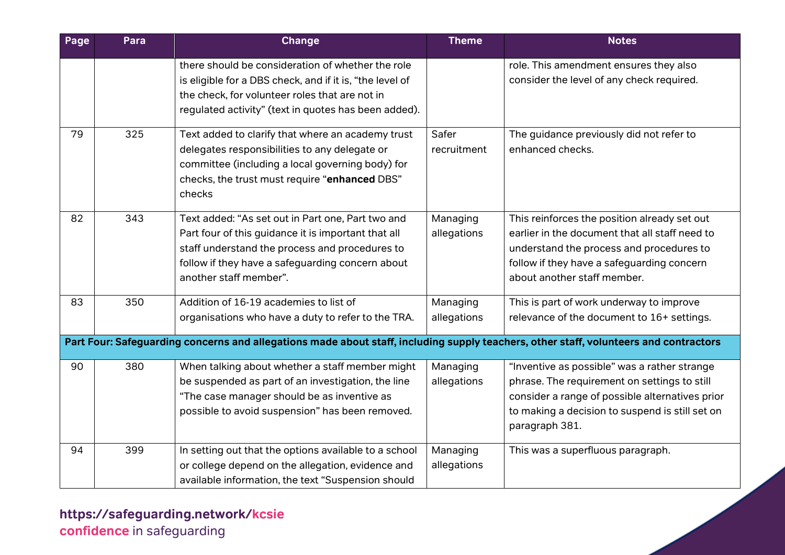| Page | Para | Change                                                                                                                                                                                                                                   | <b>Theme</b>            | <b>Notes</b>                                                                                                                                                                                                            |
|------|------|------------------------------------------------------------------------------------------------------------------------------------------------------------------------------------------------------------------------------------------|-------------------------|-------------------------------------------------------------------------------------------------------------------------------------------------------------------------------------------------------------------------|
|      |      | there should be consideration of whether the role<br>is eligible for a DBS check, and if it is, "the level of<br>the check, for volunteer roles that are not in<br>regulated activity" (text in quotes has been added).                  |                         | role. This amendment ensures they also<br>consider the level of any check required.                                                                                                                                     |
| 79   | 325  | Text added to clarify that where an academy trust<br>delegates responsibilities to any delegate or<br>committee (including a local governing body) for<br>checks, the trust must require "enhanced DBS"<br>checks                        | Safer<br>recruitment    | The guidance previously did not refer to<br>enhanced checks.                                                                                                                                                            |
| 82   | 343  | Text added: "As set out in Part one, Part two and<br>Part four of this guidance it is important that all<br>staff understand the process and procedures to<br>follow if they have a safeguarding concern about<br>another staff member". | Managing<br>allegations | This reinforces the position already set out<br>earlier in the document that all staff need to<br>understand the process and procedures to<br>follow if they have a safeguarding concern<br>about another staff member. |
| 83   | 350  | Addition of 16-19 academies to list of<br>organisations who have a duty to refer to the TRA.                                                                                                                                             | Managing<br>allegations | This is part of work underway to improve<br>relevance of the document to 16+ settings.                                                                                                                                  |
|      |      | Part Four: Safeguarding concerns and allegations made about staff, including supply teachers, other staff, volunteers and contractors                                                                                                    |                         |                                                                                                                                                                                                                         |
| 90   | 380  | When talking about whether a staff member might<br>be suspended as part of an investigation, the line<br>"The case manager should be as inventive as<br>possible to avoid suspension" has been removed.                                  | Managing<br>allegations | "Inventive as possible" was a rather strange<br>phrase. The requirement on settings to still<br>consider a range of possible alternatives prior<br>to making a decision to suspend is still set on<br>paragraph 381.    |
| 94   | 399  | In setting out that the options available to a school<br>or college depend on the allegation, evidence and<br>available information, the text "Suspension should                                                                         | Managing<br>allegations | This was a superfluous paragraph.                                                                                                                                                                                       |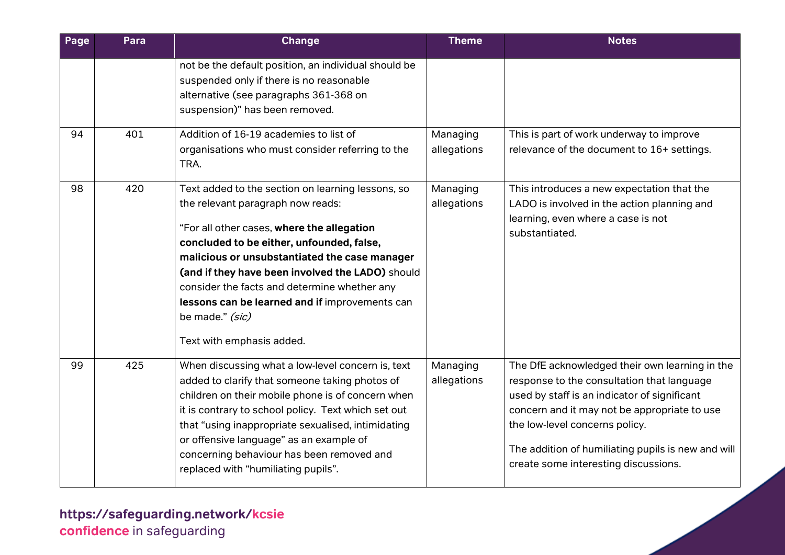| Page | Para | <b>Change</b>                                                                                                                                                                                                                                                                                                                                                                                                                            | <b>Theme</b>            | <b>Notes</b>                                                                                                                                                                                                                                                                                                                 |
|------|------|------------------------------------------------------------------------------------------------------------------------------------------------------------------------------------------------------------------------------------------------------------------------------------------------------------------------------------------------------------------------------------------------------------------------------------------|-------------------------|------------------------------------------------------------------------------------------------------------------------------------------------------------------------------------------------------------------------------------------------------------------------------------------------------------------------------|
|      |      | not be the default position, an individual should be<br>suspended only if there is no reasonable<br>alternative (see paragraphs 361-368 on<br>suspension)" has been removed.                                                                                                                                                                                                                                                             |                         |                                                                                                                                                                                                                                                                                                                              |
| 94   | 401  | Addition of 16-19 academies to list of<br>organisations who must consider referring to the<br>TRA.                                                                                                                                                                                                                                                                                                                                       | Managing<br>allegations | This is part of work underway to improve<br>relevance of the document to 16+ settings.                                                                                                                                                                                                                                       |
| 98   | 420  | Text added to the section on learning lessons, so<br>the relevant paragraph now reads:<br>"For all other cases, where the allegation<br>concluded to be either, unfounded, false,<br>malicious or unsubstantiated the case manager<br>(and if they have been involved the LADO) should<br>consider the facts and determine whether any<br>lessons can be learned and if improvements can<br>be made." (sic)<br>Text with emphasis added. | Managing<br>allegations | This introduces a new expectation that the<br>LADO is involved in the action planning and<br>learning, even where a case is not<br>substantiated.                                                                                                                                                                            |
| 99   | 425  | When discussing what a low-level concern is, text<br>added to clarify that someone taking photos of<br>children on their mobile phone is of concern when<br>it is contrary to school policy. Text which set out<br>that "using inappropriate sexualised, intimidating<br>or offensive language" as an example of<br>concerning behaviour has been removed and<br>replaced with "humiliating pupils".                                     | Managing<br>allegations | The DfE acknowledged their own learning in the<br>response to the consultation that language<br>used by staff is an indicator of significant<br>concern and it may not be appropriate to use<br>the low-level concerns policy.<br>The addition of humiliating pupils is new and will<br>create some interesting discussions. |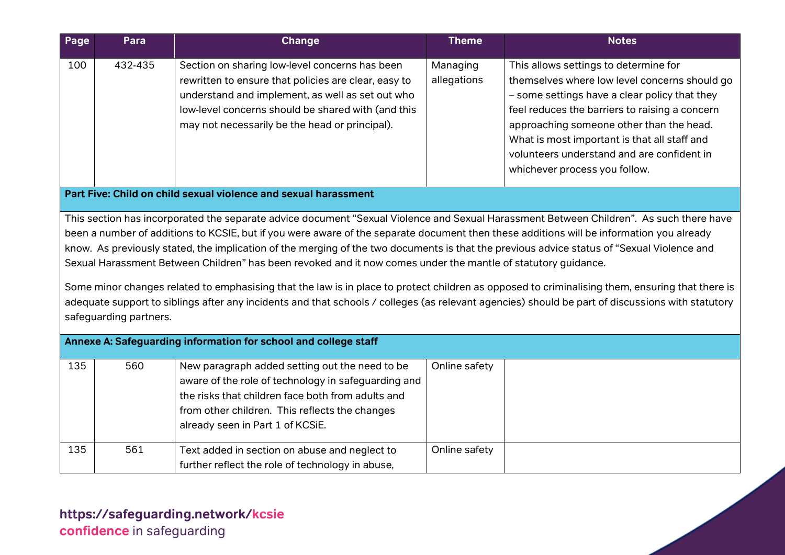| Page                                                                                                                                                                                                                                                                                                                                                                                                                                                                                                                                                                                                                                                                                                                                                                                                                                                                                                                                                   | Para    | <b>Change</b>                                                                                                                                                                                                                                                      | <b>Theme</b>            | <b>Notes</b>                                                                                                                                                                                                                                                                                                                                                         |
|--------------------------------------------------------------------------------------------------------------------------------------------------------------------------------------------------------------------------------------------------------------------------------------------------------------------------------------------------------------------------------------------------------------------------------------------------------------------------------------------------------------------------------------------------------------------------------------------------------------------------------------------------------------------------------------------------------------------------------------------------------------------------------------------------------------------------------------------------------------------------------------------------------------------------------------------------------|---------|--------------------------------------------------------------------------------------------------------------------------------------------------------------------------------------------------------------------------------------------------------------------|-------------------------|----------------------------------------------------------------------------------------------------------------------------------------------------------------------------------------------------------------------------------------------------------------------------------------------------------------------------------------------------------------------|
| 100                                                                                                                                                                                                                                                                                                                                                                                                                                                                                                                                                                                                                                                                                                                                                                                                                                                                                                                                                    | 432-435 | Section on sharing low-level concerns has been<br>rewritten to ensure that policies are clear, easy to<br>understand and implement, as well as set out who<br>low-level concerns should be shared with (and this<br>may not necessarily be the head or principal). | Managing<br>allegations | This allows settings to determine for<br>themselves where low level concerns should go<br>- some settings have a clear policy that they<br>feel reduces the barriers to raising a concern<br>approaching someone other than the head.<br>What is most important is that all staff and<br>volunteers understand and are confident in<br>whichever process you follow. |
|                                                                                                                                                                                                                                                                                                                                                                                                                                                                                                                                                                                                                                                                                                                                                                                                                                                                                                                                                        |         | Part Five: Child on child sexual violence and sexual harassment                                                                                                                                                                                                    |                         |                                                                                                                                                                                                                                                                                                                                                                      |
| This section has incorporated the separate advice document "Sexual Violence and Sexual Harassment Between Children". As such there have<br>been a number of additions to KCSIE, but if you were aware of the separate document then these additions will be information you already<br>know. As previously stated, the implication of the merging of the two documents is that the previous advice status of "Sexual Violence and<br>Sexual Harassment Between Children" has been revoked and it now comes under the mantle of statutory guidance.<br>Some minor changes related to emphasising that the law is in place to protect children as opposed to criminalising them, ensuring that there is<br>adequate support to siblings after any incidents and that schools / colleges (as relevant agencies) should be part of discussions with statutory<br>safeguarding partners.<br>Annexe A: Safeguarding information for school and college staff |         |                                                                                                                                                                                                                                                                    |                         |                                                                                                                                                                                                                                                                                                                                                                      |
| 135                                                                                                                                                                                                                                                                                                                                                                                                                                                                                                                                                                                                                                                                                                                                                                                                                                                                                                                                                    | 560     | New paragraph added setting out the need to be<br>aware of the role of technology in safeguarding and<br>the risks that children face both from adults and<br>from other children. This reflects the changes<br>already seen in Part 1 of KCSiE.                   | Online safety           |                                                                                                                                                                                                                                                                                                                                                                      |
| 135                                                                                                                                                                                                                                                                                                                                                                                                                                                                                                                                                                                                                                                                                                                                                                                                                                                                                                                                                    | 561     | Text added in section on abuse and neglect to<br>further reflect the role of technology in abuse,                                                                                                                                                                  | Online safety           |                                                                                                                                                                                                                                                                                                                                                                      |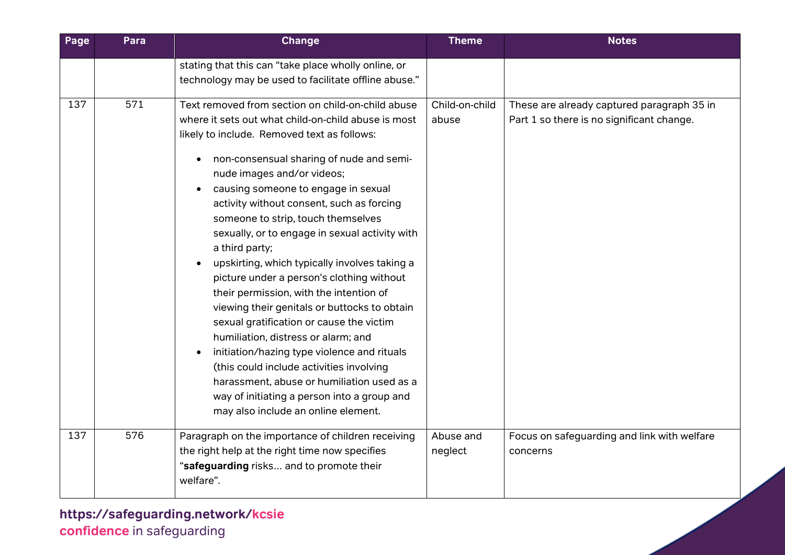| Page | Para | <b>Change</b>                                                                                                                                                                                                                                                                                                                                                                                                                                                                                                                                                                                                                                                                                                                                                                                                                                                                                                                                           | <b>Theme</b>            | <b>Notes</b>                                                                            |
|------|------|---------------------------------------------------------------------------------------------------------------------------------------------------------------------------------------------------------------------------------------------------------------------------------------------------------------------------------------------------------------------------------------------------------------------------------------------------------------------------------------------------------------------------------------------------------------------------------------------------------------------------------------------------------------------------------------------------------------------------------------------------------------------------------------------------------------------------------------------------------------------------------------------------------------------------------------------------------|-------------------------|-----------------------------------------------------------------------------------------|
|      |      | stating that this can "take place wholly online, or<br>technology may be used to facilitate offline abuse."                                                                                                                                                                                                                                                                                                                                                                                                                                                                                                                                                                                                                                                                                                                                                                                                                                             |                         |                                                                                         |
| 137  | 571  | Text removed from section on child-on-child abuse<br>where it sets out what child-on-child abuse is most<br>likely to include. Removed text as follows:<br>non-consensual sharing of nude and semi-<br>$\bullet$<br>nude images and/or videos;<br>causing someone to engage in sexual<br>activity without consent, such as forcing<br>someone to strip, touch themselves<br>sexually, or to engage in sexual activity with<br>a third party;<br>upskirting, which typically involves taking a<br>picture under a person's clothing without<br>their permission, with the intention of<br>viewing their genitals or buttocks to obtain<br>sexual gratification or cause the victim<br>humiliation, distress or alarm; and<br>initiation/hazing type violence and rituals<br>(this could include activities involving<br>harassment, abuse or humiliation used as a<br>way of initiating a person into a group and<br>may also include an online element. | Child-on-child<br>abuse | These are already captured paragraph 35 in<br>Part 1 so there is no significant change. |
| 137  | 576  | Paragraph on the importance of children receiving<br>the right help at the right time now specifies<br>"safeguarding risks and to promote their<br>welfare".                                                                                                                                                                                                                                                                                                                                                                                                                                                                                                                                                                                                                                                                                                                                                                                            | Abuse and<br>neglect    | Focus on safeguarding and link with welfare<br>concerns                                 |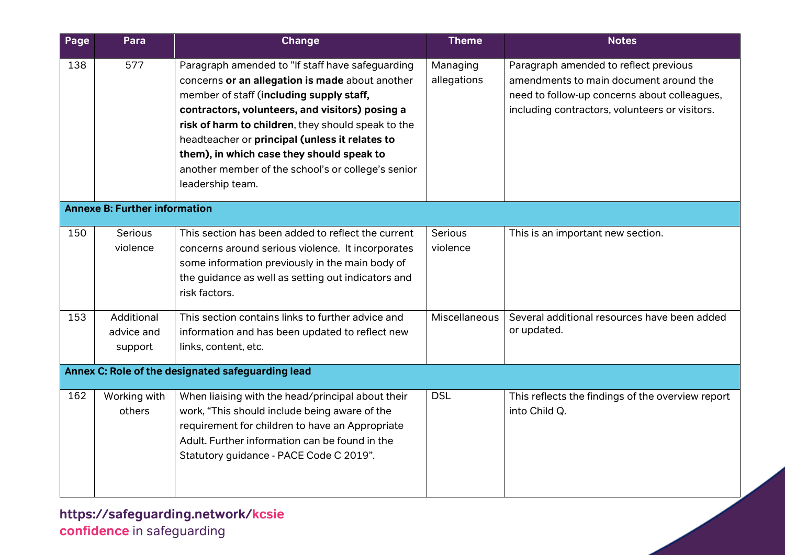| Page | Para                                 | <b>Change</b>                                                                                                                                                                                                                                                                                                                                                                                                                     | <b>Theme</b>            | <b>Notes</b>                                                                                                                                                                      |
|------|--------------------------------------|-----------------------------------------------------------------------------------------------------------------------------------------------------------------------------------------------------------------------------------------------------------------------------------------------------------------------------------------------------------------------------------------------------------------------------------|-------------------------|-----------------------------------------------------------------------------------------------------------------------------------------------------------------------------------|
| 138  | 577                                  | Paragraph amended to "If staff have safeguarding<br>concerns or an allegation is made about another<br>member of staff (including supply staff,<br>contractors, volunteers, and visitors) posing a<br>risk of harm to children, they should speak to the<br>headteacher or principal (unless it relates to<br>them), in which case they should speak to<br>another member of the school's or college's senior<br>leadership team. | Managing<br>allegations | Paragraph amended to reflect previous<br>amendments to main document around the<br>need to follow-up concerns about colleagues,<br>including contractors, volunteers or visitors. |
|      | <b>Annexe B: Further information</b> |                                                                                                                                                                                                                                                                                                                                                                                                                                   |                         |                                                                                                                                                                                   |
| 150  | Serious<br>violence                  | This section has been added to reflect the current<br>concerns around serious violence. It incorporates<br>some information previously in the main body of<br>the guidance as well as setting out indicators and<br>risk factors.                                                                                                                                                                                                 | Serious<br>violence     | This is an important new section.                                                                                                                                                 |
| 153  | Additional<br>advice and<br>support  | This section contains links to further advice and<br>information and has been updated to reflect new<br>links, content, etc.                                                                                                                                                                                                                                                                                                      | Miscellaneous           | Several additional resources have been added<br>or updated.                                                                                                                       |
|      |                                      | Annex C: Role of the designated safeguarding lead                                                                                                                                                                                                                                                                                                                                                                                 |                         |                                                                                                                                                                                   |
| 162  | Working with<br>others               | When liaising with the head/principal about their<br>work, "This should include being aware of the<br>requirement for children to have an Appropriate<br>Adult. Further information can be found in the<br>Statutory guidance - PACE Code C 2019".                                                                                                                                                                                | <b>DSL</b>              | This reflects the findings of the overview report<br>into Child Q.                                                                                                                |